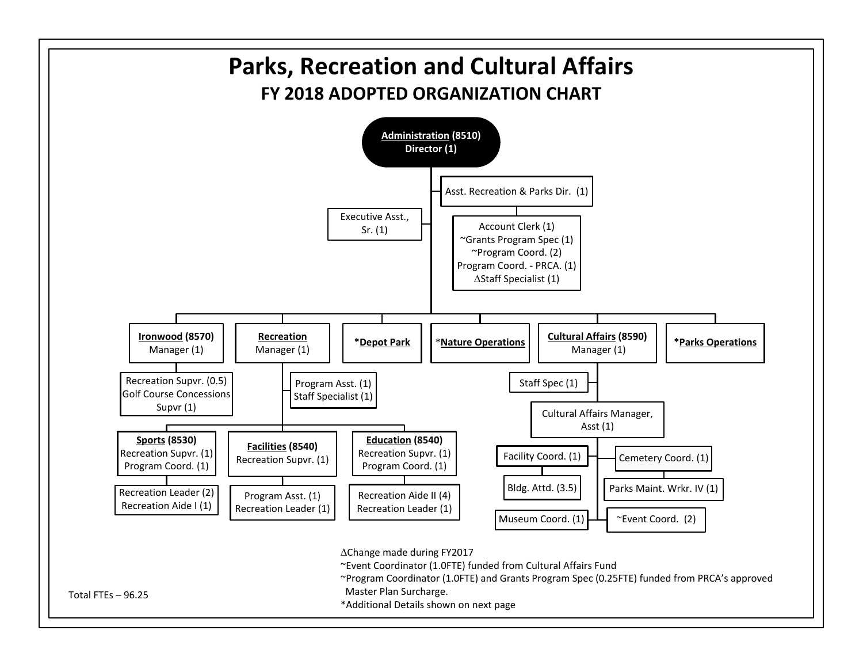